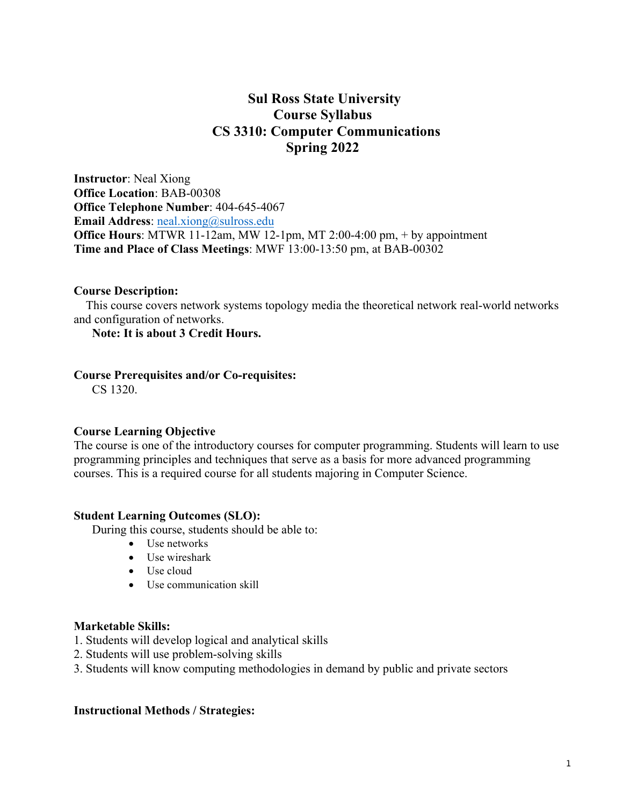# **Sul Ross State University Course Syllabus CS 3310: Computer Communications Spring 2022**

**Instructor**: Neal Xiong **Office Location**: BAB-00308 **Office Telephone Number**: 404-645-4067 **Email Address**: neal.xiong@sulross.edu **Office Hours**: MTWR 11-12am, MW 12-1pm, MT 2:00-4:00 pm, + by appointment **Time and Place of Class Meetings**: MWF 13:00-13:50 pm, at BAB-00302

### **Course Description:**

 This course covers network systems topology media the theoretical network real-world networks and configuration of networks.

## **Note: It is about 3 Credit Hours.**

#### **Course Prerequisites and/or Co-requisites:**

CS 1320.

#### **Course Learning Objective**

The course is one of the introductory courses for computer programming. Students will learn to use programming principles and techniques that serve as a basis for more advanced programming courses. This is a required course for all students majoring in Computer Science.

#### **Student Learning Outcomes (SLO):**

During this course, students should be able to:

- Use networks
- Use wireshark
- Use cloud
- Use communication skill

#### **Marketable Skills:**

- 1. Students will develop logical and analytical skills
- 2. Students will use problem-solving skills
- 3. Students will know computing methodologies in demand by public and private sectors

#### **Instructional Methods / Strategies:**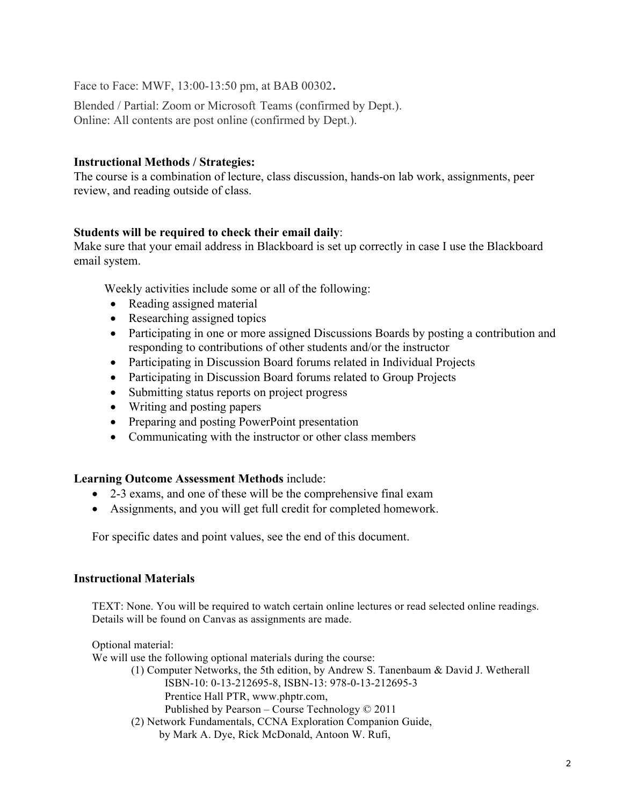Face to Face: MWF, 13:00-13:50 pm, at BAB 00302.

Blended / Partial: Zoom or Microsoft Teams (confirmed by Dept.). Online: All contents are post online (confirmed by Dept.).

## **Instructional Methods / Strategies:**

The course is a combination of lecture, class discussion, hands-on lab work, assignments, peer review, and reading outside of class.

## **Students will be required to check their email daily**:

Make sure that your email address in Blackboard is set up correctly in case I use the Blackboard email system.

Weekly activities include some or all of the following:

- Reading assigned material
- Researching assigned topics
- Participating in one or more assigned Discussions Boards by posting a contribution and responding to contributions of other students and/or the instructor
- Participating in Discussion Board forums related in Individual Projects
- Participating in Discussion Board forums related to Group Projects
- Submitting status reports on project progress
- Writing and posting papers
- Preparing and posting PowerPoint presentation
- Communicating with the instructor or other class members

### **Learning Outcome Assessment Methods** include:

- 2-3 exams, and one of these will be the comprehensive final exam
- Assignments, and you will get full credit for completed homework.

For specific dates and point values, see the end of this document.

### **Instructional Materials**

TEXT: None. You will be required to watch certain online lectures or read selected online readings. Details will be found on Canvas as assignments are made.

Optional material: We will use the following optional materials during the course: (1) Computer Networks, the 5th edition, by Andrew S. Tanenbaum & David J. Wetherall ISBN-10: 0-13-212695-8, ISBN-13: 978-0-13-212695-3 Prentice Hall PTR, www.phptr.com, Published by Pearson – Course Technology © 2011 (2) Network Fundamentals, CCNA Exploration Companion Guide, by Mark A. Dye, Rick McDonald, Antoon W. Rufi,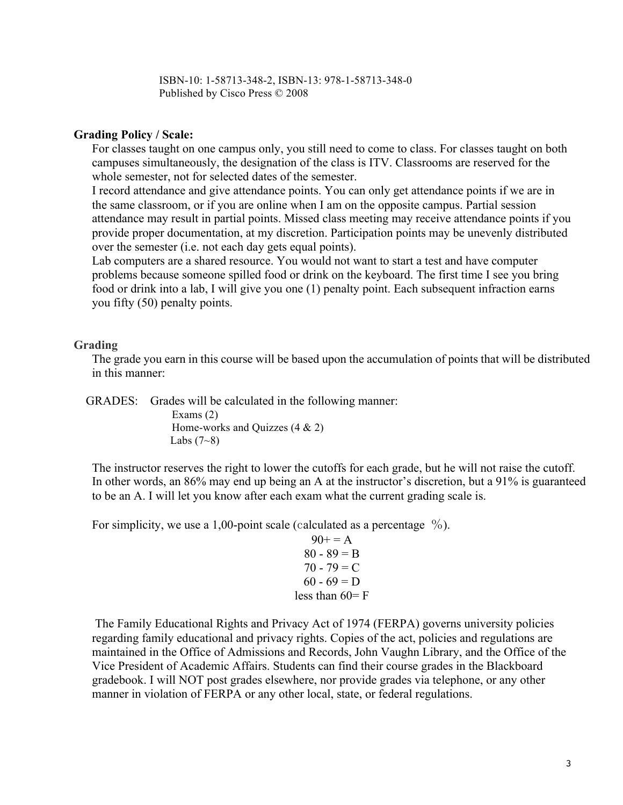ISBN-10: 1-58713-348-2, ISBN-13: 978-1-58713-348-0 Published by Cisco Press © 2008

### **Grading Policy / Scale:**

For classes taught on one campus only, you still need to come to class. For classes taught on both campuses simultaneously, the designation of the class is ITV. Classrooms are reserved for the whole semester, not for selected dates of the semester.

I record attendance and give attendance points. You can only get attendance points if we are in the same classroom, or if you are online when I am on the opposite campus. Partial session attendance may result in partial points. Missed class meeting may receive attendance points if you provide proper documentation, at my discretion. Participation points may be unevenly distributed over the semester (i.e. not each day gets equal points).

Lab computers are a shared resource. You would not want to start a test and have computer problems because someone spilled food or drink on the keyboard. The first time I see you bring food or drink into a lab, I will give you one (1) penalty point. Each subsequent infraction earns you fifty (50) penalty points.

#### **Grading**

The grade you earn in this course will be based upon the accumulation of points that will be distributed in this manner:

GRADES: Grades will be calculated in the following manner:

 Exams (2) Home-works and Quizzes  $(4 \& 2)$ Labs  $(7-8)$ 

The instructor reserves the right to lower the cutoffs for each grade, but he will not raise the cutoff. In other words, an 86% may end up being an A at the instructor's discretion, but a 91% is guaranteed to be an A. I will let you know after each exam what the current grading scale is.

For simplicity, we use a 1,00-point scale (calculated as a percentage  $\%$ ).

 $90+=A$  $80 - 89 = B$  $70 - 79 = C$  $60 - 69 = D$ less than  $60=$  F

The Family Educational Rights and Privacy Act of 1974 (FERPA) governs university policies regarding family educational and privacy rights. Copies of the act, policies and regulations are maintained in the Office of Admissions and Records, John Vaughn Library, and the Office of the Vice President of Academic Affairs. Students can find their course grades in the Blackboard gradebook. I will NOT post grades elsewhere, nor provide grades via telephone, or any other manner in violation of FERPA or any other local, state, or federal regulations.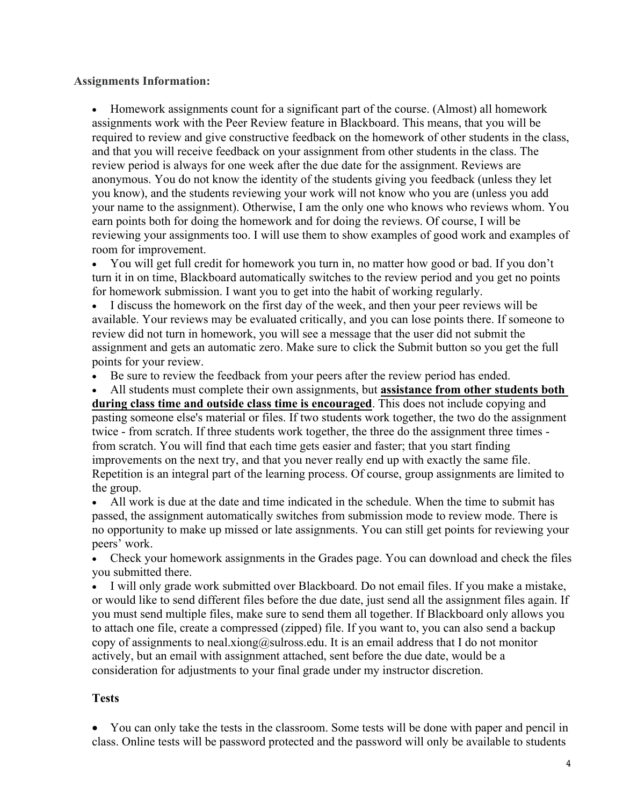## **Assignments Information:**

• Homework assignments count for a significant part of the course. (Almost) all homework assignments work with the Peer Review feature in Blackboard. This means, that you will be required to review and give constructive feedback on the homework of other students in the class, and that you will receive feedback on your assignment from other students in the class. The review period is always for one week after the due date for the assignment. Reviews are anonymous. You do not know the identity of the students giving you feedback (unless they let you know), and the students reviewing your work will not know who you are (unless you add your name to the assignment). Otherwise, I am the only one who knows who reviews whom. You earn points both for doing the homework and for doing the reviews. Of course, I will be reviewing your assignments too. I will use them to show examples of good work and examples of room for improvement.

• You will get full credit for homework you turn in, no matter how good or bad. If you don't turn it in on time, Blackboard automatically switches to the review period and you get no points for homework submission. I want you to get into the habit of working regularly.

• I discuss the homework on the first day of the week, and then your peer reviews will be available. Your reviews may be evaluated critically, and you can lose points there. If someone to review did not turn in homework, you will see a message that the user did not submit the assignment and gets an automatic zero. Make sure to click the Submit button so you get the full points for your review.

- Be sure to review the feedback from your peers after the review period has ended.
- All students must complete their own assignments, but **assistance from other students both**

**during class time and outside class time is encouraged**. This does not include copying and pasting someone else's material or files. If two students work together, the two do the assignment twice - from scratch. If three students work together, the three do the assignment three times from scratch. You will find that each time gets easier and faster; that you start finding improvements on the next try, and that you never really end up with exactly the same file. Repetition is an integral part of the learning process. Of course, group assignments are limited to the group.

• All work is due at the date and time indicated in the schedule. When the time to submit has passed, the assignment automatically switches from submission mode to review mode. There is no opportunity to make up missed or late assignments. You can still get points for reviewing your peers' work.

• Check your homework assignments in the Grades page. You can download and check the files you submitted there.

• I will only grade work submitted over Blackboard. Do not email files. If you make a mistake, or would like to send different files before the due date, just send all the assignment files again. If you must send multiple files, make sure to send them all together. If Blackboard only allows you to attach one file, create a compressed (zipped) file. If you want to, you can also send a backup copy of assignments to neal.xiong@sulross.edu. It is an email address that I do not monitor actively, but an email with assignment attached, sent before the due date, would be a consideration for adjustments to your final grade under my instructor discretion.

## **Tests**

• You can only take the tests in the classroom. Some tests will be done with paper and pencil in class. Online tests will be password protected and the password will only be available to students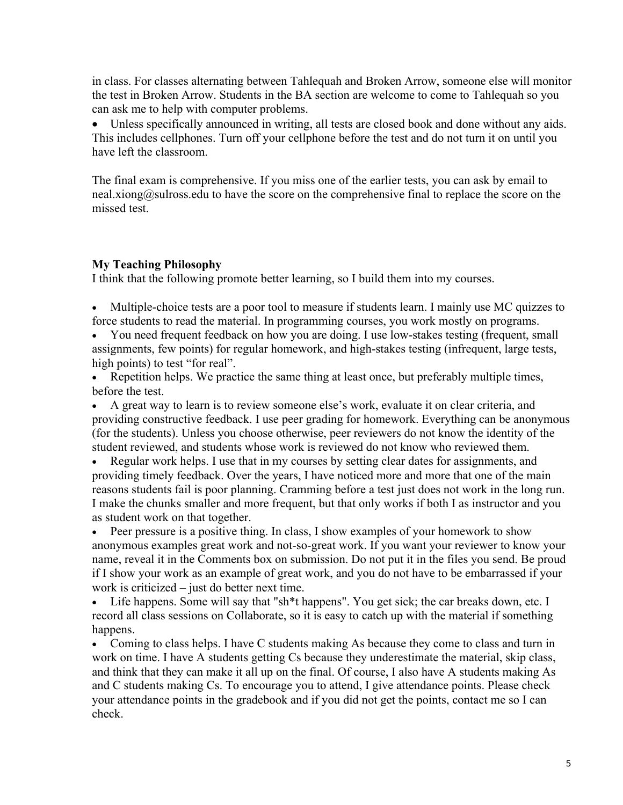in class. For classes alternating between Tahlequah and Broken Arrow, someone else will monitor the test in Broken Arrow. Students in the BA section are welcome to come to Tahlequah so you can ask me to help with computer problems.

Unless specifically announced in writing, all tests are closed book and done without any aids. This includes cellphones. Turn off your cellphone before the test and do not turn it on until you have left the classroom.

The final exam is comprehensive. If you miss one of the earlier tests, you can ask by email to neal.xiong@sulross.edu to have the score on the comprehensive final to replace the score on the missed test.

## **My Teaching Philosophy**

I think that the following promote better learning, so I build them into my courses.

- Multiple-choice tests are a poor tool to measure if students learn. I mainly use MC quizzes to force students to read the material. In programming courses, you work mostly on programs.
- You need frequent feedback on how you are doing. I use low-stakes testing (frequent, small assignments, few points) for regular homework, and high-stakes testing (infrequent, large tests, high points) to test "for real".
- Repetition helps. We practice the same thing at least once, but preferably multiple times, before the test.

• A great way to learn is to review someone else's work, evaluate it on clear criteria, and providing constructive feedback. I use peer grading for homework. Everything can be anonymous (for the students). Unless you choose otherwise, peer reviewers do not know the identity of the student reviewed, and students whose work is reviewed do not know who reviewed them.

• Regular work helps. I use that in my courses by setting clear dates for assignments, and providing timely feedback. Over the years, I have noticed more and more that one of the main reasons students fail is poor planning. Cramming before a test just does not work in the long run. I make the chunks smaller and more frequent, but that only works if both I as instructor and you as student work on that together.

• Peer pressure is a positive thing. In class, I show examples of your homework to show anonymous examples great work and not-so-great work. If you want your reviewer to know your name, reveal it in the Comments box on submission. Do not put it in the files you send. Be proud if I show your work as an example of great work, and you do not have to be embarrassed if your work is criticized – just do better next time.

• Life happens. Some will say that "sh\*t happens". You get sick; the car breaks down, etc. I record all class sessions on Collaborate, so it is easy to catch up with the material if something happens.

• Coming to class helps. I have C students making As because they come to class and turn in work on time. I have A students getting Cs because they underestimate the material, skip class, and think that they can make it all up on the final. Of course, I also have A students making As and C students making Cs. To encourage you to attend, I give attendance points. Please check your attendance points in the gradebook and if you did not get the points, contact me so I can check.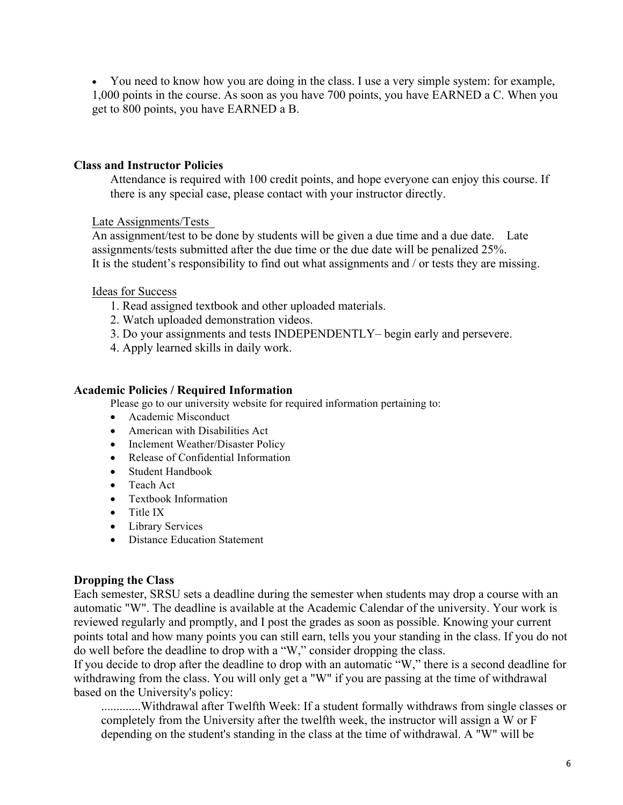• You need to know how you are doing in the class. I use a very simple system: for example, 1,000 points in the course. As soon as you have 700 points, you have EARNED a C. When you get to 800 points, you have EARNED a B.

## **Class and Instructor Policies**

Attendance is required with 100 credit points, and hope everyone can enjoy this course. If there is any special case, please contact with your instructor directly.

#### Late Assignments/Tests

An assignment/test to be done by students will be given a due time and a due date. Late assignments/tests submitted after the due time or the due date will be penalized 25%. It is the student's responsibility to find out what assignments and / or tests they are missing.

#### Ideas for Success

- 1. Read assigned textbook and other uploaded materials.
- 2. Watch uploaded demonstration videos.
- 3. Do your assignments and tests INDEPENDENTLY– begin early and persevere.
- 4. Apply learned skills in daily work.

#### **Academic Policies / Required Information**

Please go to our university website for required information pertaining to:

- Academic Misconduct
- American with Disabilities Act
- Inclement Weather/Disaster Policy
- Release of Confidential Information
- Student Handbook
- Teach Act
- Textbook Information
- Title IX
- Library Services
- Distance Education Statement

### **Dropping the Class**

Each semester, SRSU sets a deadline during the semester when students may drop a course with an automatic "W". The deadline is available at the Academic Calendar of the university. Your work is reviewed regularly and promptly, and I post the grades as soon as possible. Knowing your current points total and how many points you can still earn, tells you your standing in the class. If you do not do well before the deadline to drop with a "W," consider dropping the class.

If you decide to drop after the deadline to drop with an automatic "W," there is a second deadline for withdrawing from the class. You will only get a "W" if you are passing at the time of withdrawal based on the University's policy:

.............Withdrawal after Twelfth Week: If a student formally withdraws from single classes or completely from the University after the twelfth week, the instructor will assign a W or F depending on the student's standing in the class at the time of withdrawal. A "W" will be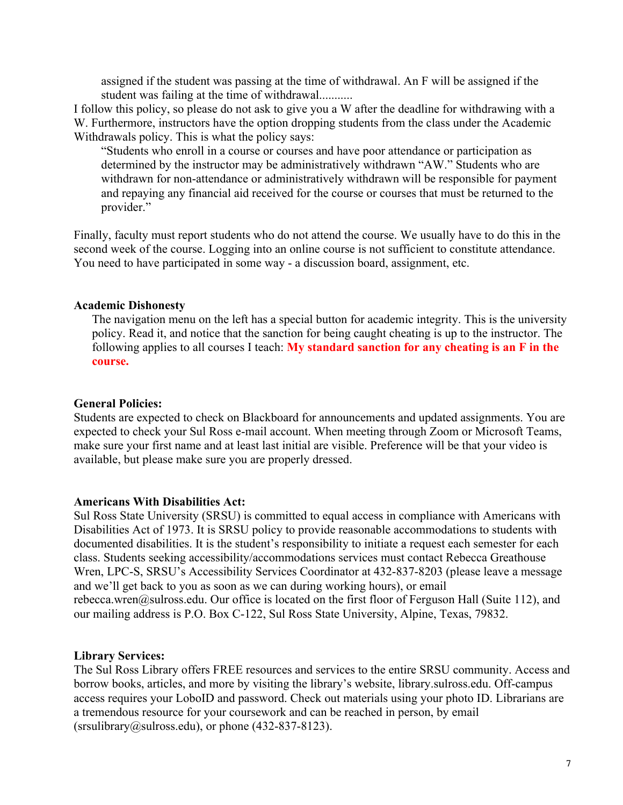assigned if the student was passing at the time of withdrawal. An F will be assigned if the student was failing at the time of withdrawal...........

I follow this policy, so please do not ask to give you a W after the deadline for withdrawing with a W. Furthermore, instructors have the option dropping students from the class under the Academic Withdrawals policy. This is what the policy says:

"Students who enroll in a course or courses and have poor attendance or participation as determined by the instructor may be administratively withdrawn "AW." Students who are withdrawn for non-attendance or administratively withdrawn will be responsible for payment and repaying any financial aid received for the course or courses that must be returned to the provider."

Finally, faculty must report students who do not attend the course. We usually have to do this in the second week of the course. Logging into an online course is not sufficient to constitute attendance. You need to have participated in some way - a discussion board, assignment, etc.

## **Academic Dishonesty**

The navigation menu on the left has a special button for academic integrity. This is the university policy. Read it, and notice that the sanction for being caught cheating is up to the instructor. The following applies to all courses I teach: **My standard sanction for any cheating is an F in the course.**

### **General Policies:**

Students are expected to check on Blackboard for announcements and updated assignments. You are expected to check your Sul Ross e-mail account. When meeting through Zoom or Microsoft Teams, make sure your first name and at least last initial are visible. Preference will be that your video is available, but please make sure you are properly dressed.

### **Americans With Disabilities Act:**

Sul Ross State University (SRSU) is committed to equal access in compliance with Americans with Disabilities Act of 1973. It is SRSU policy to provide reasonable accommodations to students with documented disabilities. It is the student's responsibility to initiate a request each semester for each class. Students seeking accessibility/accommodations services must contact Rebecca Greathouse Wren, LPC-S, SRSU's Accessibility Services Coordinator at 432-837-8203 (please leave a message and we'll get back to you as soon as we can during working hours), or email rebecca.wren@sulross.edu. Our office is located on the first floor of Ferguson Hall (Suite 112), and our mailing address is P.O. Box C-122, Sul Ross State University, Alpine, Texas, 79832.

### **Library Services:**

The Sul Ross Library offers FREE resources and services to the entire SRSU community. Access and borrow books, articles, and more by visiting the library's website, library.sulross.edu. Off-campus access requires your LoboID and password. Check out materials using your photo ID. Librarians are a tremendous resource for your coursework and can be reached in person, by email  $(srsulibrary@sulross.edu)$ , or phone  $(432-837-8123)$ .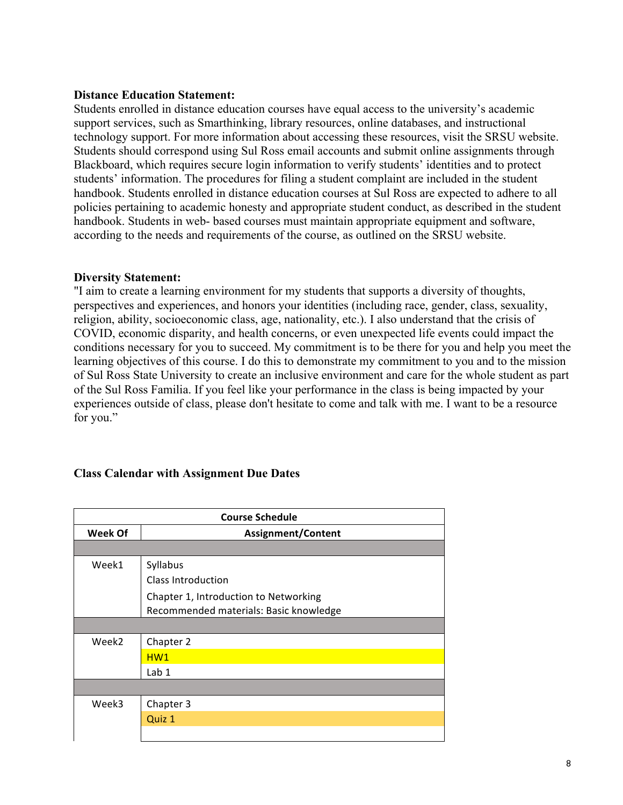### **Distance Education Statement:**

Students enrolled in distance education courses have equal access to the university's academic support services, such as Smarthinking, library resources, online databases, and instructional technology support. For more information about accessing these resources, visit the SRSU website. Students should correspond using Sul Ross email accounts and submit online assignments through Blackboard, which requires secure login information to verify students' identities and to protect students' information. The procedures for filing a student complaint are included in the student handbook. Students enrolled in distance education courses at Sul Ross are expected to adhere to all policies pertaining to academic honesty and appropriate student conduct, as described in the student handbook. Students in web- based courses must maintain appropriate equipment and software, according to the needs and requirements of the course, as outlined on the SRSU website.

## **Diversity Statement:**

"I aim to create a learning environment for my students that supports a diversity of thoughts, perspectives and experiences, and honors your identities (including race, gender, class, sexuality, religion, ability, socioeconomic class, age, nationality, etc.). I also understand that the crisis of COVID, economic disparity, and health concerns, or even unexpected life events could impact the conditions necessary for you to succeed. My commitment is to be there for you and help you meet the learning objectives of this course. I do this to demonstrate my commitment to you and to the mission of Sul Ross State University to create an inclusive environment and care for the whole student as part of the Sul Ross Familia. If you feel like your performance in the class is being impacted by your experiences outside of class, please don't hesitate to come and talk with me. I want to be a resource for you."

## **Class Calendar with Assignment Due Dates**

| <b>Course Schedule</b> |                                        |  |
|------------------------|----------------------------------------|--|
| <b>Week Of</b>         | <b>Assignment/Content</b>              |  |
|                        |                                        |  |
| Week1                  | Syllabus                               |  |
|                        | <b>Class Introduction</b>              |  |
|                        | Chapter 1, Introduction to Networking  |  |
|                        | Recommended materials: Basic knowledge |  |
|                        |                                        |  |
| Week <sub>2</sub>      | Chapter 2                              |  |
|                        | HW1                                    |  |
|                        | Lab 1                                  |  |
|                        |                                        |  |
| Week3                  | Chapter 3                              |  |
|                        | Quiz 1                                 |  |
|                        |                                        |  |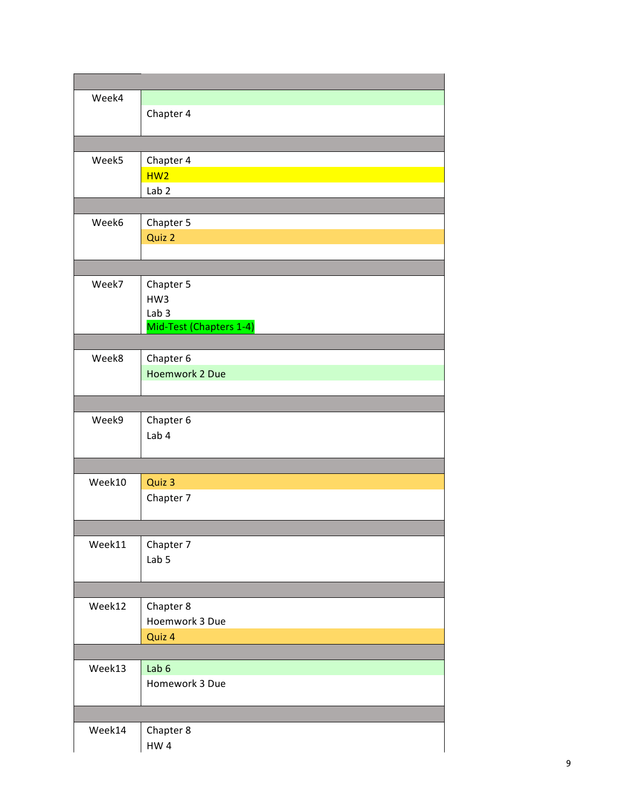| Week4  |                         |
|--------|-------------------------|
|        | Chapter 4               |
|        |                         |
|        |                         |
| Week5  | Chapter 4               |
|        | HW2                     |
|        | Lab <sub>2</sub>        |
|        |                         |
| Week6  | Chapter 5               |
|        | Quiz 2                  |
|        |                         |
|        |                         |
| Week7  | Chapter 5               |
|        | HW3<br>Lab <sub>3</sub> |
|        | Mid-Test (Chapters 1-4) |
|        |                         |
| Week8  | Chapter 6               |
|        | Hoemwork 2 Due          |
|        |                         |
|        |                         |
| Week9  | Chapter 6               |
|        | Lab 4                   |
|        |                         |
|        |                         |
| Week10 | Quiz 3                  |
|        | Chapter 7               |
|        |                         |
| Week11 | Chapter 7               |
|        | Lab 5                   |
|        |                         |
|        |                         |
| Week12 | Chapter 8               |
|        | Hoemwork 3 Due          |
|        | Quiz 4                  |
|        |                         |
| Week13 | Lab 6                   |
|        | Homework 3 Due          |
|        |                         |
|        |                         |
| Week14 | Chapter 8<br>$HW 4$     |
|        |                         |